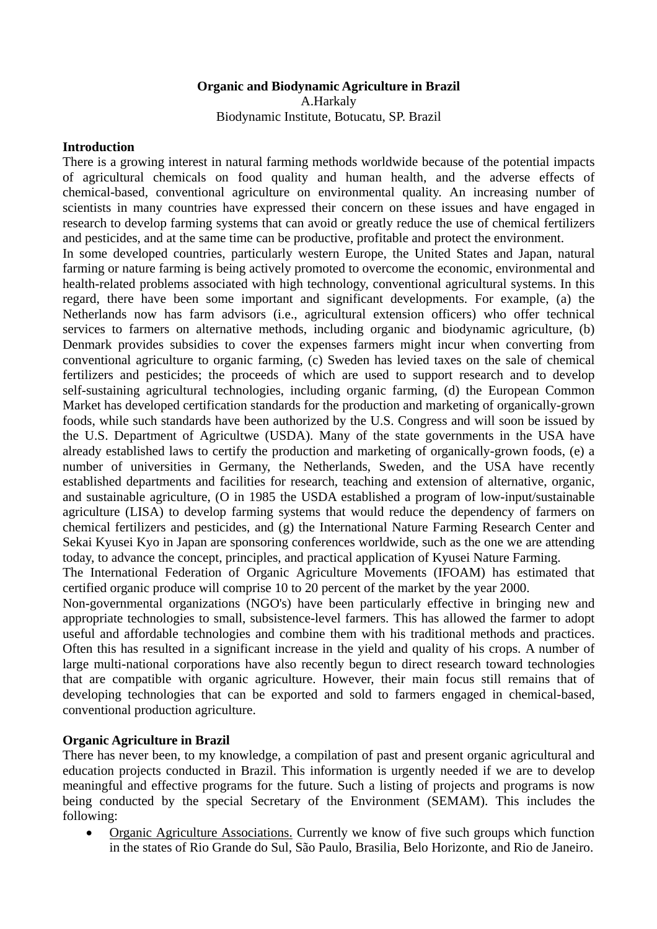### **Organic and Biodynamic Agriculture in Brazil**  A.Harkaly

Biodynamic Institute, Botucatu, SP. Brazil

## **Introduction**

There is a growing interest in natural farming methods worldwide because of the potential impacts of agricultural chemicals on food quality and human health, and the adverse effects of chemical-based, conventional agriculture on environmental quality. An increasing number of scientists in many countries have expressed their concern on these issues and have engaged in research to develop farming systems that can avoid or greatly reduce the use of chemical fertilizers and pesticides, and at the same time can be productive, profitable and protect the environment.

In some developed countries, particularly western Europe, the United States and Japan, natural farming or nature farming is being actively promoted to overcome the economic, environmental and health-related problems associated with high technology, conventional agricultural systems. In this regard, there have been some important and significant developments. For example, (a) the Netherlands now has farm advisors (i.e., agricultural extension officers) who offer technical services to farmers on alternative methods, including organic and biodynamic agriculture, (b) Denmark provides subsidies to cover the expenses farmers might incur when converting from conventional agriculture to organic farming, (c) Sweden has levied taxes on the sale of chemical fertilizers and pesticides; the proceeds of which are used to support research and to develop self-sustaining agricultural technologies, including organic farming, (d) the European Common Market has developed certification standards for the production and marketing of organically-grown foods, while such standards have been authorized by the U.S. Congress and will soon be issued by the U.S. Department of Agricultwe (USDA). Many of the state governments in the USA have already established laws to certify the production and marketing of organically-grown foods, (e) a number of universities in Germany, the Netherlands, Sweden, and the USA have recently established departments and facilities for research, teaching and extension of alternative, organic, and sustainable agriculture, (O in 1985 the USDA established a program of low-input/sustainable agriculture (LISA) to develop farming systems that would reduce the dependency of farmers on chemical fertilizers and pesticides, and (g) the International Nature Farming Research Center and Sekai Kyusei Kyo in Japan are sponsoring conferences worldwide, such as the one we are attending today, to advance the concept, principles, and practical application of Kyusei Nature Farming.

The International Federation of Organic Agriculture Movements (IFOAM) has estimated that certified organic produce will comprise 10 to 20 percent of the market by the year 2000.

Non-governmental organizations (NGO's) have been particularly effective in bringing new and appropriate technologies to small, subsistence-level farmers. This has allowed the farmer to adopt useful and affordable technologies and combine them with his traditional methods and practices. Often this has resulted in a significant increase in the yield and quality of his crops. A number of large multi-national corporations have also recently begun to direct research toward technologies that are compatible with organic agriculture. However, their main focus still remains that of developing technologies that can be exported and sold to farmers engaged in chemical-based, conventional production agriculture.

## **Organic Agriculture in Brazil**

There has never been, to my knowledge, a compilation of past and present organic agricultural and education projects conducted in Brazil. This information is urgently needed if we are to develop meaningful and effective programs for the future. Such a listing of projects and programs is now being conducted by the special Secretary of the Environment (SEMAM). This includes the following:

• Organic Agriculture Associations. Currently we know of five such groups which function in the states of Rio Grande do Sul, São Paulo, Brasilia, Belo Horizonte, and Rio de Janeiro.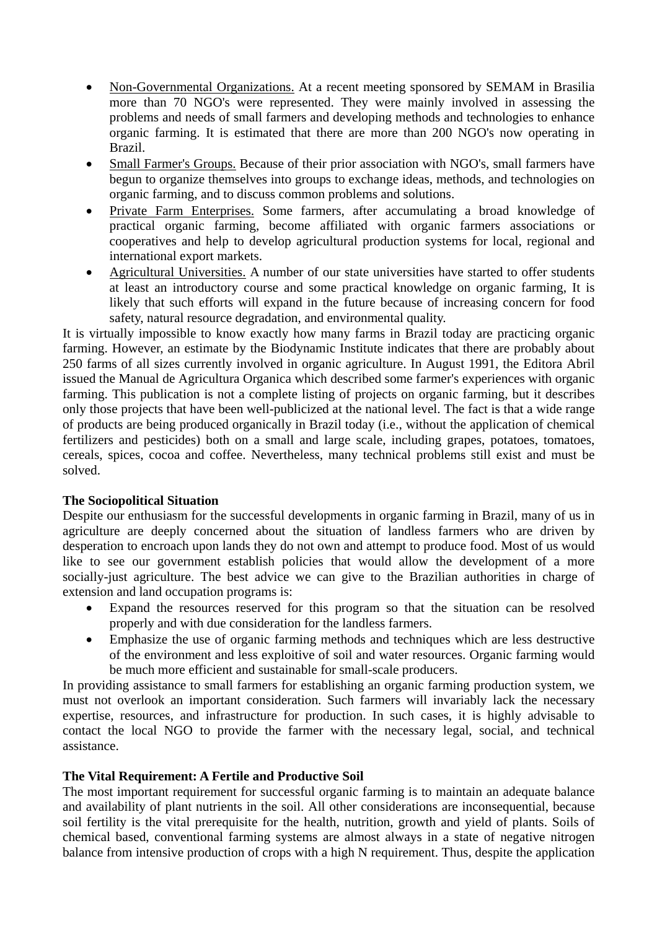- Non-Governmental Organizations. At a recent meeting sponsored by SEMAM in Brasilia more than 70 NGO's were represented. They were mainly involved in assessing the problems and needs of small farmers and developing methods and technologies to enhance organic farming. It is estimated that there are more than 200 NGO's now operating in Brazil.
- Small Farmer's Groups. Because of their prior association with NGO's, small farmers have begun to organize themselves into groups to exchange ideas, methods, and technologies on organic farming, and to discuss common problems and solutions.
- Private Farm Enterprises. Some farmers, after accumulating a broad knowledge of practical organic farming, become affiliated with organic farmers associations or cooperatives and help to develop agricultural production systems for local, regional and international export markets.
- Agricultural Universities. A number of our state universities have started to offer students at least an introductory course and some practical knowledge on organic farming, It is likely that such efforts will expand in the future because of increasing concern for food safety, natural resource degradation, and environmental quality.

It is virtually impossible to know exactly how many farms in Brazil today are practicing organic farming. However, an estimate by the Biodynamic Institute indicates that there are probably about 250 farms of all sizes currently involved in organic agriculture. In August 1991, the Editora Abril issued the Manual de Agricultura Organica which described some farmer's experiences with organic farming. This publication is not a complete listing of projects on organic farming, but it describes only those projects that have been well-publicized at the national level. The fact is that a wide range of products are being produced organically in Brazil today (i.e., without the application of chemical fertilizers and pesticides) both on a small and large scale, including grapes, potatoes, tomatoes, cereals, spices, cocoa and coffee. Nevertheless, many technical problems still exist and must be solved.

# **The Sociopolitical Situation**

Despite our enthusiasm for the successful developments in organic farming in Brazil, many of us in agriculture are deeply concerned about the situation of landless farmers who are driven by desperation to encroach upon lands they do not own and attempt to produce food. Most of us would like to see our government establish policies that would allow the development of a more socially-just agriculture. The best advice we can give to the Brazilian authorities in charge of extension and land occupation programs is:

- Expand the resources reserved for this program so that the situation can be resolved properly and with due consideration for the landless farmers.
- Emphasize the use of organic farming methods and techniques which are less destructive of the environment and less exploitive of soil and water resources. Organic farming would be much more efficient and sustainable for small-scale producers.

In providing assistance to small farmers for establishing an organic farming production system, we must not overlook an important consideration. Such farmers will invariably lack the necessary expertise, resources, and infrastructure for production. In such cases, it is highly advisable to contact the local NGO to provide the farmer with the necessary legal, social, and technical assistance.

## **The Vital Requirement: A Fertile and Productive Soil**

The most important requirement for successful organic farming is to maintain an adequate balance and availability of plant nutrients in the soil. All other considerations are inconsequential, because soil fertility is the vital prerequisite for the health, nutrition, growth and yield of plants. Soils of chemical based, conventional farming systems are almost always in a state of negative nitrogen balance from intensive production of crops with a high N requirement. Thus, despite the application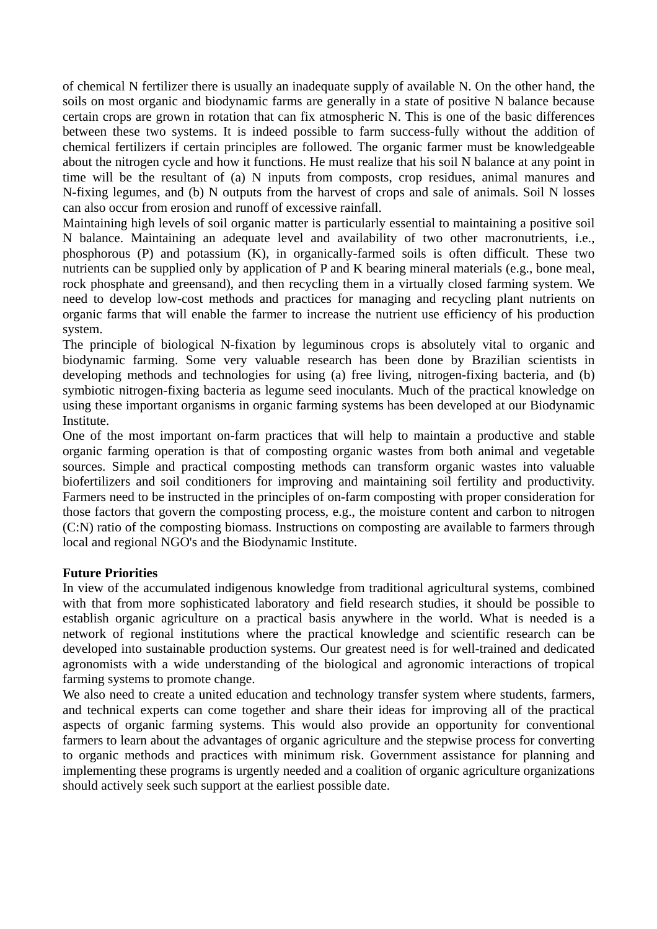of chemical N fertilizer there is usually an inadequate supply of available N. On the other hand, the soils on most organic and biodynamic farms are generally in a state of positive N balance because certain crops are grown in rotation that can fix atmospheric N. This is one of the basic differences between these two systems. It is indeed possible to farm success-fully without the addition of chemical fertilizers if certain principles are followed. The organic farmer must be knowledgeable about the nitrogen cycle and how it functions. He must realize that his soil N balance at any point in time will be the resultant of (a) N inputs from composts, crop residues, animal manures and N-fixing legumes, and (b) N outputs from the harvest of crops and sale of animals. Soil N losses can also occur from erosion and runoff of excessive rainfall.

Maintaining high levels of soil organic matter is particularly essential to maintaining a positive soil N balance. Maintaining an adequate level and availability of two other macronutrients, i.e., phosphorous (P) and potassium (K), in organically-farmed soils is often difficult. These two nutrients can be supplied only by application of P and K bearing mineral materials (e.g., bone meal, rock phosphate and greensand), and then recycling them in a virtually closed farming system. We need to develop low-cost methods and practices for managing and recycling plant nutrients on organic farms that will enable the farmer to increase the nutrient use efficiency of his production system.

The principle of biological N-fixation by leguminous crops is absolutely vital to organic and biodynamic farming. Some very valuable research has been done by Brazilian scientists in developing methods and technologies for using (a) free living, nitrogen-fixing bacteria, and (b) symbiotic nitrogen-fixing bacteria as legume seed inoculants. Much of the practical knowledge on using these important organisms in organic farming systems has been developed at our Biodynamic Institute.

One of the most important on-farm practices that will help to maintain a productive and stable organic farming operation is that of composting organic wastes from both animal and vegetable sources. Simple and practical composting methods can transform organic wastes into valuable biofertilizers and soil conditioners for improving and maintaining soil fertility and productivity. Farmers need to be instructed in the principles of on-farm composting with proper consideration for those factors that govern the composting process, e.g., the moisture content and carbon to nitrogen (C:N) ratio of the composting biomass. Instructions on composting are available to farmers through local and regional NGO's and the Biodynamic Institute.

## **Future Priorities**

In view of the accumulated indigenous knowledge from traditional agricultural systems, combined with that from more sophisticated laboratory and field research studies, it should be possible to establish organic agriculture on a practical basis anywhere in the world. What is needed is a network of regional institutions where the practical knowledge and scientific research can be developed into sustainable production systems. Our greatest need is for well-trained and dedicated agronomists with a wide understanding of the biological and agronomic interactions of tropical farming systems to promote change.

We also need to create a united education and technology transfer system where students, farmers, and technical experts can come together and share their ideas for improving all of the practical aspects of organic farming systems. This would also provide an opportunity for conventional farmers to learn about the advantages of organic agriculture and the stepwise process for converting to organic methods and practices with minimum risk. Government assistance for planning and implementing these programs is urgently needed and a coalition of organic agriculture organizations should actively seek such support at the earliest possible date.